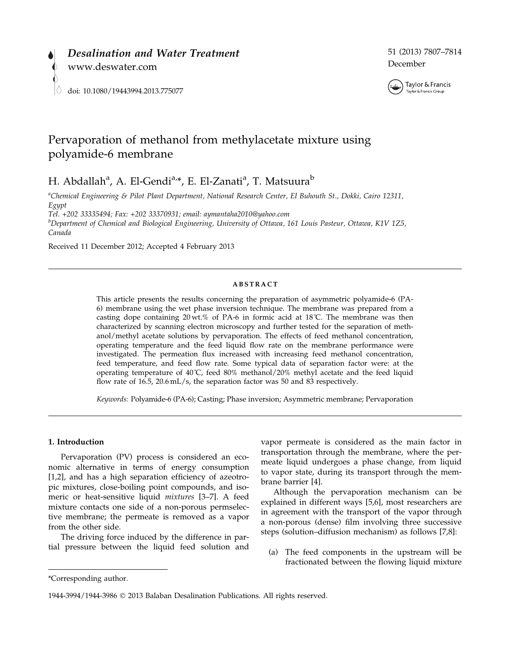

51 (2013) 7807–7814 December



# Pervaporation of methanol from methylacetate mixture using polyamide-6 membrane

H. Abdallah<sup>a</sup>, A. El-Gendi<sup>a,</sup>\*, E. El-Zanati<sup>a</sup>, T. Matsuura<sup>b</sup>

a Chemical Engineering & Pilot Plant Department, National Research Center, El Buhouth St., Dokki, Cairo 12311, Egypt

Tel. +202 33335494; Fax: +202 33370931; email: aymantaha2010@yahoo.com <sup>b</sup>Department of Chemical and Biological Engineering, University of Ottawa, 161 Louis Pasteur, Ottawa, K1V 1Z5, Canada

Received 11 December 2012; Accepted 4 February 2013

## **ABSTRACT**

This article presents the results concerning the preparation of asymmetric polyamide-6 (PA-6) membrane using the wet phase inversion technique. The membrane was prepared from a casting dope containing  $20 \text{ wt.} \%$  of PA-6 in formic acid at 18°C. The membrane was then characterized by scanning electron microscopy and further tested for the separation of methanol/methyl acetate solutions by pervaporation. The effects of feed methanol concentration, operating temperature and the feed liquid flow rate on the membrane performance were investigated. The permeation flux increased with increasing feed methanol concentration, feed temperature, and feed flow rate. Some typical data of separation factor were: at the operating temperature of  $40^{\circ}$ C, feed  $80\%$  methanol/20% methyl acetate and the feed liquid flow rate of 16.5, 20.6 mL/s, the separation factor was 50 and 83 respectively.

Keywords: Polyamide-6 (PA-6); Casting; Phase inversion; Asymmetric membrane; Pervaporation

## 1. Introduction

Pervaporation (PV) process is considered an economic alternative in terms of energy consumption [1,2], and has a high separation efficiency of azeotropic mixtures, close-boiling point compounds, and isomeric or heat-sensitive liquid mixtures [3–7]. A feed mixture contacts one side of a non-porous permselective membrane; the permeate is removed as a vapor from the other side.

The driving force induced by the difference in partial pressure between the liquid feed solution and

vapor permeate is considered as the main factor in transportation through the membrane, where the permeate liquid undergoes a phase change, from liquid to vapor state, during its transport through the membrane barrier [4].

Although the pervaporation mechanism can be explained in different ways [5,6], most researchers are in agreement with the transport of the vapor through a non-porous (dense) film involving three successive steps (solution–diffusion mechanism) as follows [7,8]:

(a) The feed components in the upstream will be fractionated between the flowing liquid mixture

<sup>\*</sup>Corresponding author.

<sup>1944-3994/1944-3986</sup> 2013 Balaban Desalination Publications. All rights reserved.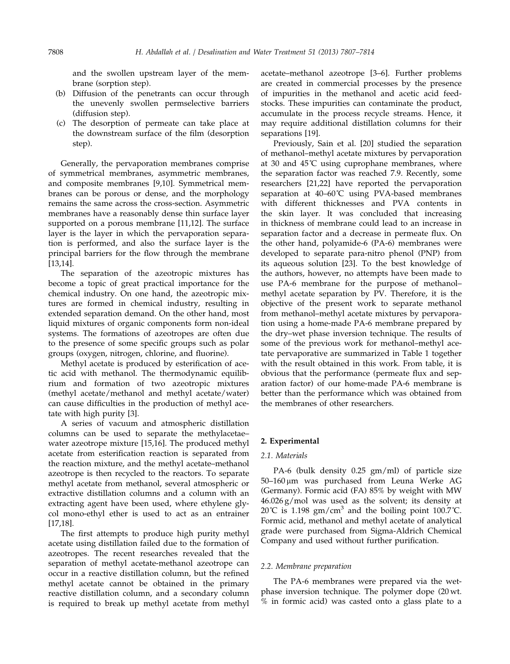and the swollen upstream layer of the membrane (sorption step).

- (b) Diffusion of the penetrants can occur through the unevenly swollen permselective barriers (diffusion step).
- (c) The desorption of permeate can take place at the downstream surface of the film (desorption step).

Generally, the pervaporation membranes comprise of symmetrical membranes, asymmetric membranes, and composite membranes [9,10]. Symmetrical membranes can be porous or dense, and the morphology remains the same across the cross-section. Asymmetric membranes have a reasonably dense thin surface layer supported on a porous membrane [11,12]. The surface layer is the layer in which the pervaporation separation is performed, and also the surface layer is the principal barriers for the flow through the membrane [13,14].

The separation of the azeotropic mixtures has become a topic of great practical importance for the chemical industry. On one hand, the azeotropic mixtures are formed in chemical industry, resulting in extended separation demand. On the other hand, most liquid mixtures of organic components form non-ideal systems. The formations of azeotropes are often due to the presence of some specific groups such as polar groups (oxygen, nitrogen, chlorine, and fluorine).

Methyl acetate is produced by esterification of acetic acid with methanol. The thermodynamic equilibrium and formation of two azeotropic mixtures (methyl acetate/methanol and methyl acetate/water) can cause difficulties in the production of methyl acetate with high purity [3].

A series of vacuum and atmospheric distillation columns can be used to separate the methylacetae– water azeotrope mixture [15,16]. The produced methyl acetate from esterification reaction is separated from the reaction mixture, and the methyl acetate–methanol azeotrope is then recycled to the reactors. To separate methyl acetate from methanol, several atmospheric or extractive distillation columns and a column with an extracting agent have been used, where ethylene glycol mono-ethyl ether is used to act as an entrainer [17,18].

The first attempts to produce high purity methyl acetate using distillation failed due to the formation of azeotropes. The recent researches revealed that the separation of methyl acetate-methanol azeotrope can occur in a reactive distillation column, but the refined methyl acetate cannot be obtained in the primary reactive distillation column, and a secondary column is required to break up methyl acetate from methyl acetate–methanol azeotrope [3–6]. Further problems are created in commercial processes by the presence of impurities in the methanol and acetic acid feedstocks. These impurities can contaminate the product, accumulate in the process recycle streams. Hence, it may require additional distillation columns for their separations [19].

Previously, Sain et al. [20] studied the separation of methanol–methyl acetate mixtures by pervaporation at 30 and 45˚C using cuprophane membranes, where the separation factor was reached 7.9. Recently, some researchers [21,22] have reported the pervaporation separation at 40–60℃ using PVA-based membranes with different thicknesses and PVA contents in the skin layer. It was concluded that increasing in thickness of membrane could lead to an increase in separation factor and a decrease in permeate flux. On the other hand, polyamide-6 (PA-6) membranes were developed to separate para-nitro phenol (PNP) from its aqueous solution [23]. To the best knowledge of the authors, however, no attempts have been made to use PA-6 membrane for the purpose of methanol– methyl acetate separation by PV. Therefore, it is the objective of the present work to separate methanol from methanol–methyl acetate mixtures by pervaporation using a home-made PA-6 membrane prepared by the dry–wet phase inversion technique. The results of some of the previous work for methanol–methyl acetate pervaporative are summarized in Table 1 together with the result obtained in this work. From table, it is obvious that the performance (permeate flux and separation factor) of our home-made PA-6 membrane is better than the performance which was obtained from the membranes of other researchers.

# 2. Experimental

## 2.1. Materials

PA-6 (bulk density 0.25 gm/ml) of particle size 50–160 lm was purchased from Leuna Werke AG (Germany). Formic acid (FA) 85% by weight with MW  $46.026$  g/mol was used as the solvent; its density at 20℃ is 1.198  $gm/cm<sup>3</sup>$  and the boiling point 100.7°C. Formic acid, methanol and methyl acetate of analytical grade were purchased from Sigma-Aldrich Chemical Company and used without further purification.

## 2.2. Membrane preparation

The PA-6 membranes were prepared via the wetphase inversion technique. The polymer dope (20 wt. % in formic acid) was casted onto a glass plate to a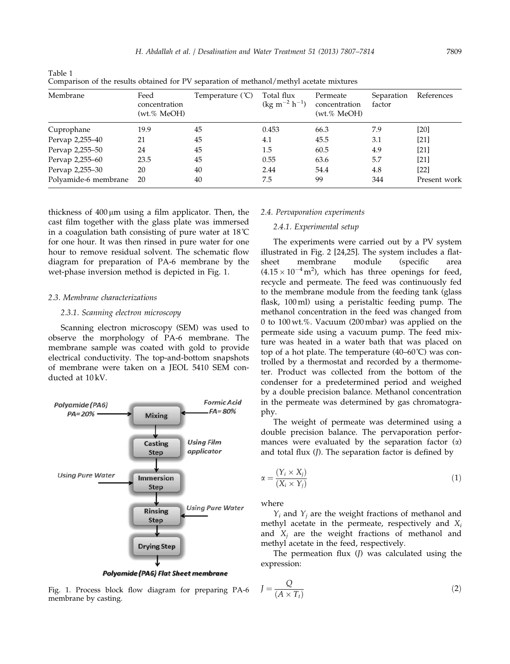| Membrane             | Feed<br>concentration<br>(wt.% MeOH) | Temperature (°C) | Total flux<br>$(\text{kg m}^{-2} \text{ h}^{-1})$ | Permeate<br>concentration<br>(wt.% MeOH) | Separation<br>factor | References   |
|----------------------|--------------------------------------|------------------|---------------------------------------------------|------------------------------------------|----------------------|--------------|
| Cuprophane           | 19.9                                 | 45               | 0.453                                             | 66.3                                     | 7.9                  | [20]         |
| Pervap 2,255-40      | 21                                   | 45               | 4.1                                               | 45.5                                     | 3.1                  | $[21]$       |
| Pervap 2,255-50      | 24                                   | 45               | 1.5                                               | 60.5                                     | 4.9                  | $[21]$       |
| Pervap 2,255-60      | 23.5                                 | 45               | 0.55                                              | 63.6                                     | 5.7                  | $[21]$       |
| Pervap 2,255-30      | 20                                   | 40               | 2.44                                              | 54.4                                     | 4.8                  | [22]         |
| Polyamide-6 membrane | 20                                   | 40               | 7.5                                               | 99                                       | 344                  | Present work |

Table 1 Comparison of the results obtained for PV separation of methanol/methyl acetate mixtures

thickness of  $400 \mu m$  using a film applicator. Then, the cast film together with the glass plate was immersed in a coagulation bath consisting of pure water at 18˚C for one hour. It was then rinsed in pure water for one hour to remove residual solvent. The schematic flow diagram for preparation of PA-6 membrane by the wet-phase inversion method is depicted in Fig. 1.

## 2.3. Membrane characterizations

## 2.3.1. Scanning electron microscopy

Scanning electron microscopy (SEM) was used to observe the morphology of PA-6 membrane. The membrane sample was coated with gold to provide electrical conductivity. The top-and-bottom snapshots of membrane were taken on a JEOL 5410 SEM conducted at 10 kV.



**Polyamide (PA6) Flat Sheet membrane** 

Fig. 1. Process block flow diagram for preparing PA-6 membrane by casting.

#### 2.4. Pervaporation experiments

## 2.4.1. Experimental setup

The experiments were carried out by a PV system illustrated in Fig. 2 [24,25]. The system includes a flatsheet membrane module (specific area  $(4.15 \times 10^{-4} \text{ m}^2)$ , which has three openings for feed, recycle and permeate. The feed was continuously fed to the membrane module from the feeding tank (glass flask, 100 ml) using a peristaltic feeding pump. The methanol concentration in the feed was changed from 0 to 100 wt.%. Vacuum (200 mbar) was applied on the permeate side using a vacuum pump. The feed mixture was heated in a water bath that was placed on top of a hot plate. The temperature (40–60˚C) was controlled by a thermostat and recorded by a thermometer. Product was collected from the bottom of the condenser for a predetermined period and weighed by a double precision balance. Methanol concentration in the permeate was determined by gas chromatography.

The weight of permeate was determined using a double precision balance. The pervaporation performances were evaluated by the separation factor  $(\alpha)$ and total flux (J). The separation factor is defined by

$$
\alpha = \frac{(Y_i \times X_j)}{(X_i \times Y_j)}\tag{1}
$$

where

 $Y_i$  and  $Y_j$  are the weight fractions of methanol and methyl acetate in the permeate, respectively and  $X_i$ and  $X_i$  are the weight fractions of methanol and methyl acetate in the feed, respectively.

The permeation flux (J) was calculated using the expression:

$$
J = \frac{Q}{(A \times T_t)}\tag{2}
$$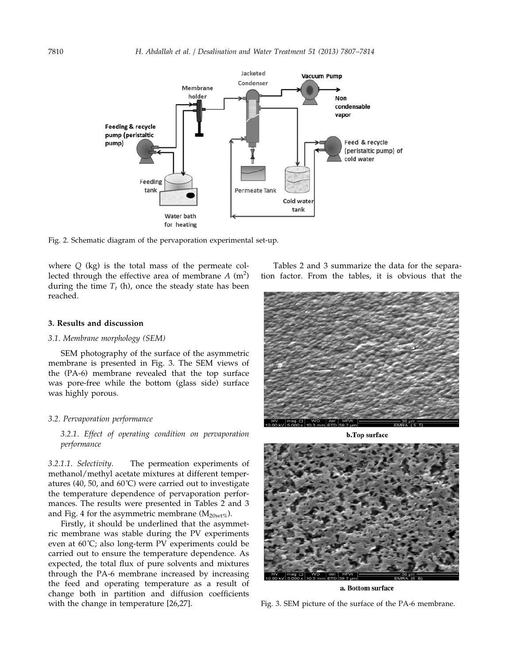

Fig. 2. Schematic diagram of the pervaporation experimental set-up.

where Q (kg) is the total mass of the permeate collected through the effective area of membrane  $A(m^2)$ during the time  $T_t$  (h), once the steady state has been reached.

## 3. Results and discussion

# 3.1. Membrane morphology (SEM)

SEM photography of the surface of the asymmetric membrane is presented in Fig. 3. The SEM views of the (PA-6) membrane revealed that the top surface was pore-free while the bottom (glass side) surface was highly porous.

## 3.2. Pervaporation performance

3.2.1. Effect of operating condition on pervaporation performance

3.2.1.1. Selectivity. The permeation experiments of methanol/methyl acetate mixtures at different temperatures (40, 50, and 60˚C) were carried out to investigate the temperature dependence of pervaporation performances. The results were presented in Tables 2 and 3 and Fig. 4 for the asymmetric membrane  $(M_{20wt\%})$ .

Firstly, it should be underlined that the asymmetric membrane was stable during the PV experiments even at 60˚C; also long-term PV experiments could be carried out to ensure the temperature dependence. As expected, the total flux of pure solvents and mixtures through the PA-6 membrane increased by increasing the feed and operating temperature as a result of change both in partition and diffusion coefficients with the change in temperature [26,27].

Tables 2 and 3 summarize the data for the separation factor. From the tables, it is obvious that the



**b.Top** surface



a. Bottom surface

Fig. 3. SEM picture of the surface of the PA-6 membrane.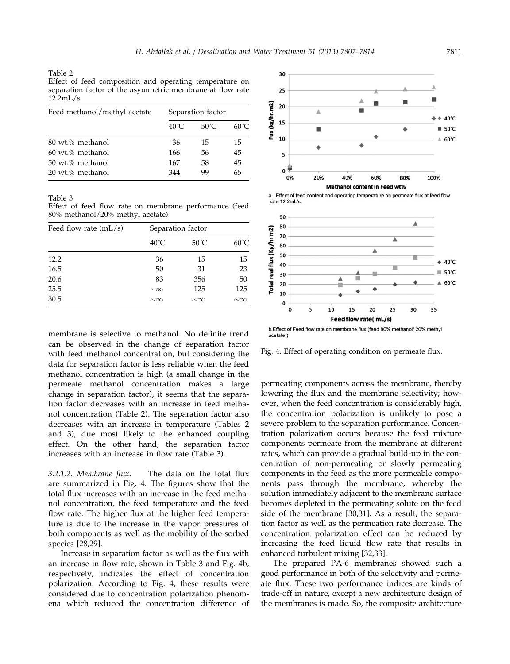Table 2

Effect of feed composition and operating temperature on separation factor of the asymmetric membrane at flow rate 12.2mL/s

| Feed methanol/methyl acetate | Separation factor  |      |                |
|------------------------------|--------------------|------|----------------|
|                              | 40 <sup>°</sup> C. | 50°C | $60^{\circ}$ C |
| 80 wt.% methanol             | 36                 | 15   | 15             |
| $60 \text{ wt.}\%$ methanol  | 166                | 56   | 45             |
| 50 wt.% methanol             | 167                | 58   | 45             |
| 20 wt.% methanol             | 344                | 99   | 65             |

Table 3

Effect of feed flow rate on membrane performance (feed 80% methanol/20% methyl acetate)

| Feed flow rate $(mL/s)$ | Separation factor |                |                |  |
|-------------------------|-------------------|----------------|----------------|--|
|                         | $40^{\circ}$ C    | $50^{\circ}$ C | $60^{\circ}$ C |  |
| 12.2                    | 36                | 15             | 15             |  |
| 16.5                    | 50                | 31             | 23             |  |
| 20.6                    | 83                | 356            | 50             |  |
| 25.5                    | $\sim\infty$      | 125            | 125            |  |
| 30.5                    | $\sim\!\infty$    | $\sim\infty$   | $\sim\!\infty$ |  |

membrane is selective to methanol. No definite trend can be observed in the change of separation factor with feed methanol concentration, but considering the data for separation factor is less reliable when the feed methanol concentration is high (a small change in the permeate methanol concentration makes a large change in separation factor), it seems that the separation factor decreases with an increase in feed methanol concentration (Table 2). The separation factor also decreases with an increase in temperature (Tables 2 and 3), due most likely to the enhanced coupling effect. On the other hand, the separation factor increases with an increase in flow rate (Table 3).

3.2.1.2. Membrane flux. The data on the total flux are summarized in Fig. 4. The figures show that the total flux increases with an increase in the feed methanol concentration, the feed temperature and the feed flow rate. The higher flux at the higher feed temperature is due to the increase in the vapor pressures of both components as well as the mobility of the sorbed species [28,29].

Increase in separation factor as well as the flux with an increase in flow rate, shown in Table 3 and Fig. 4b, respectively, indicates the effect of concentration polarization. According to Fig. 4, these results were considered due to concentration polarization phenomena which reduced the concentration difference of







b.Effect of Feed flow rate on membrane flux (feed 80% methanol/ 20% methyl acetate)

Fig. 4. Effect of operating condition on permeate flux.

permeating components across the membrane, thereby lowering the flux and the membrane selectivity; however, when the feed concentration is considerably high, the concentration polarization is unlikely to pose a severe problem to the separation performance. Concentration polarization occurs because the feed mixture components permeate from the membrane at different rates, which can provide a gradual build-up in the concentration of non-permeating or slowly permeating components in the feed as the more permeable components pass through the membrane, whereby the solution immediately adjacent to the membrane surface becomes depleted in the permeating solute on the feed side of the membrane [30,31]. As a result, the separation factor as well as the permeation rate decrease. The concentration polarization effect can be reduced by increasing the feed liquid flow rate that results in enhanced turbulent mixing [32,33].

The prepared PA-6 membranes showed such a good performance in both of the selectivity and permeate flux. These two performance indices are kinds of trade-off in nature, except a new architecture design of the membranes is made. So, the composite architecture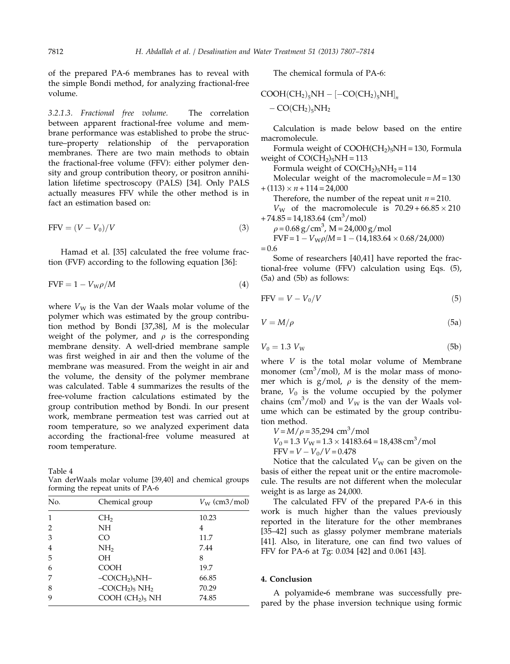of the prepared PA-6 membranes has to reveal with the simple Bondi method, for analyzing fractional-free volume.

3.2.1.3. Fractional free volume. The correlation between apparent fractional-free volume and membrane performance was established to probe the structure–property relationship of the pervaporation membranes. There are two main methods to obtain the fractional-free volume (FFV): either polymer density and group contribution theory, or positron annihilation lifetime spectroscopy (PALS) [34]. Only PALS actually measures FFV while the other method is in fact an estimation based on:

$$
FFV = (V - V_0)/V
$$
\n(3)

Hamad et al. [35] calculated the free volume fraction (FVF) according to the following equation [36]:

$$
FVF = 1 - V_{W}\rho/M
$$
\n(4)

where  $V_W$  is the Van der Waals molar volume of the polymer which was estimated by the group contribution method by Bondi [37,38], M is the molecular weight of the polymer, and  $\rho$  is the corresponding membrane density. A well-dried membrane sample was first weighed in air and then the volume of the membrane was measured. From the weight in air and the volume, the density of the polymer membrane was calculated. Table 4 summarizes the results of the free-volume fraction calculations estimated by the group contribution method by Bondi. In our present work, membrane permeation test was carried out at room temperature, so we analyzed experiment data according the fractional-free volume measured at room temperature.

Table 4

Van derWaals molar volume [39,40] and chemical groups forming the repeat units of PA-6

| No. | Chemical group                          | $V_{W}$ (cm3/mol) |  |
|-----|-----------------------------------------|-------------------|--|
| 1   | CH <sub>2</sub>                         | 10.23             |  |
| 2   | NΗ                                      | 4                 |  |
| 3   | CO                                      | 11.7              |  |
| 4   | NH <sub>2</sub>                         | 7.44              |  |
| 5   | OН                                      | 8                 |  |
| 6   | <b>COOH</b>                             | 19.7              |  |
| 7   | $-CO(CH_2)$ <sub>5</sub> NH-            | 66.85             |  |
| 8   | $-CO(CH2)5 NH2$                         | 70.29             |  |
| 9   | COOH (CH <sub>2</sub> ) <sub>5</sub> NH | 74.85             |  |

The chemical formula of PA-6:

$$
COOH(CH_2)_5NH - [-CO(CH_2)_5NH]_n - CO(CH_2)_5NH_2
$$

Calculation is made below based on the entire macromolecule.

Formula weight of  $COOH(CH<sub>2</sub>)<sub>5</sub>NH = 130$ , Formula weight of  $CO(CH<sub>2</sub>)<sub>5</sub>NH = 113$ 

Formula weight of  $CO(CH_2)_5NH_2 = 114$ 

Molecular weight of the macromolecule =  $M = 130$  $+(113) \times n + 114 = 24,000$ 

Therefore, the number of the repeat unit  $n = 210$ .

 $V_W$  of the macromolecule is  $70.29 + 66.85 \times 210$  $+74.85 = 14,183.64$  (cm<sup>3</sup>/mol)

 $\rho = 0.68 \text{ g/cm}^3$ , M = 24,000 g/mol  $FVF = 1 - V_{W}\rho/M = 1 - (14,183.64 \times 0.68/24,000)$ 

 $= 0.6$ 

Some of researchers [40,41] have reported the fractional-free volume (FFV) calculation using Eqs. (5), (5a) and (5b) as follows:

$$
FFV = V - V_0/V
$$
\n<sup>(5)</sup>

$$
V = M/\rho \tag{5a}
$$

$$
V_0 = 1.3 V_W \tag{5b}
$$

where V is the total molar volume of Membrane monomer ( $\text{cm}^3/\text{mol}$ ), M is the molar mass of monomer which is  $g/mol$ ,  $\rho$  is the density of the membrane,  $V_0$  is the volume occupied by the polymer chains (cm<sup>3</sup>/mol) and  $V_W$  is the van der Waals volume which can be estimated by the group contribution method.

$$
V = M/\rho = 35,294 \text{ cm}^3/\text{mol}
$$
  
V<sub>0</sub> = 1.3 V<sub>W</sub> = 1.3 × 14183.64 = 18,438 cm<sup>3</sup>/mol  
FFV = V – V<sub>0</sub>/V = 0.478

Notice that the calculated  $V_W$  can be given on the basis of either the repeat unit or the entire macromolecule. The results are not different when the molecular weight is as large as 24,000.

The calculated FFV of the prepared PA-6 in this work is much higher than the values previously reported in the literature for the other membranes [35–42] such as glassy polymer membrane materials [41]. Also, in literature, one can find two values of FFV for PA-6 at Tg: 0.034 [42] and 0.061 [43].

### 4. Conclusion

A polyamide-6 membrane was successfully prepared by the phase inversion technique using formic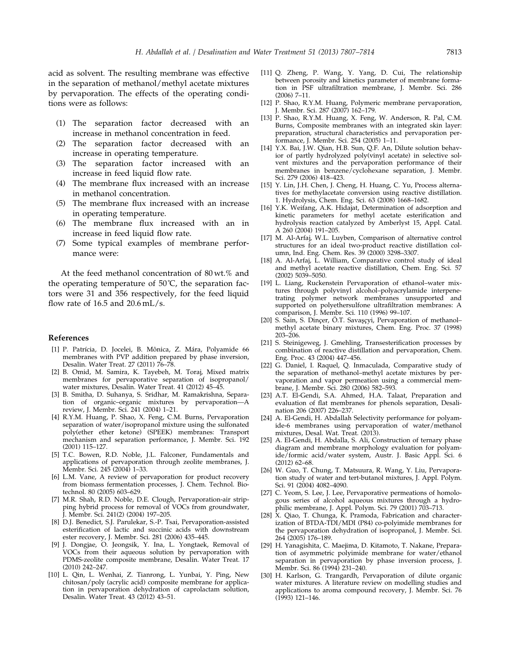acid as solvent. The resulting membrane was effective in the separation of methanol/methyl acetate mixtures by pervaporation. The effects of the operating conditions were as follows:

- (1) The separation factor decreased with an increase in methanol concentration in feed.
- (2) The separation factor decreased with an increase in operating temperature.
- (3) The separation factor increased with an increase in feed liquid flow rate.
- (4) The membrane flux increased with an increase in methanol concentration.
- (5) The membrane flux increased with an increase in operating temperature.
- (6) The membrane flux increased with an in increase in feed liquid flow rate.
- (7) Some typical examples of membrane performance were:

At the feed methanol concentration of 80 wt.% and the operating temperature of  $50^{\circ}$ C, the separation factors were 31 and 356 respectively, for the feed liquid flow rate of  $16.5$  and  $20.6$  mL/s.

#### References

- [1] P. Patrícia, D. Jocelei, B. Mônica, Z. Mára, Polyamide 66 membranes with PVP addition prepared by phase inversion, Desalin. Water Treat. 27 (2011) 76–78.
- [2] B. Omid, M. Samira, K. Tayebeh, M. Toraj, Mixed matrix membranes for pervaporative separation of isopropanol/ water mixtures, Desalin. Water Treat. 41 (2012) 45–45.
- [3] B. Smitha, D. Suhanya, S. Sridhar, M. Ramakrishna, Separation of organic–organic mixtures by pervaporation—A review, J. Membr. Sci. 241 (2004) 1–21.
- [4] R.Y.M. Huang, P. Shao, X. Feng, C.M. Burns, Pervaporation separation of water/isopropanol mixture using the sulfonated poly(ether ether ketone) (SPEEK) membranes: Transport mechanism and separation performance, J. Membr. Sci. 192 (2001) 115–127.
- [5] T.C. Bowen, R.D. Noble, J.L. Falconer, Fundamentals and applications of pervaporation through zeolite membranes, J. Membr. Sci. 245 (2004) 1–33.
- [6] L.M. Vane, A review of pervaporation for product recovery from biomass fermentation processes, J. Chem. Technol. Biotechnol. 80 (2005) 603–629.
- [7] M.R. Shah, R.D. Noble, D.E. Clough, Pervaporation-air stripping hybrid process for removal of VOCs from groundwater, J. Membr. Sci. 241(2) (2004) 197–205.
- [8] D.J. Benedict, S.J. Parulekar, S.-P. Tsai, Pervaporation-assisted esterification of lactic and succinic acids with downstream ester recovery, J. Membr. Sci. 281 (2006) 435–445.
- J. Dongjae, O. Jeongsik, Y. Ina, L. Yongtaek, Removal of VOCs from their aqueous solution by pervaporation with PDMS-zeolite composite membrane, Desalin. Water Treat. 17 (2010) 242–247.
- [10] L. Qin, L. Wenhai, Z. Tianrong, L. Yunbai, Y. Ping, New chitosan/poly (acrylic acid) composite membrane for application in pervaporation dehydration of caprolactam solution, Desalin. Water Treat. 43 (2012) 43–51.
- [11] Q. Zheng, P. Wang, Y. Yang, D. Cui, The relationship between porosity and kinetics parameter of membrane formation in PSF ultrafiltration membrane, J. Membr. Sci. 286 (2006) 7–11.
- [12] P. Shao, R.Y.M. Huang, Polymeric membrane pervaporation, J. Membr. Sci. 287 (2007) 162–179.
- [13] P. Shao, R.Y.M. Huang, X. Feng, W. Anderson, R. Pal, C.M. Burns, Composite membranes with an integrated skin layer: preparation, structural characteristics and pervaporation performance, J. Membr. Sci. 254 (2005) 1–11.
- [14] Y.X. Bai, J.W. Qian, H.B. Sun, Q.F. An, Dilute solution behavior of partly hydrolyzed poly(vinyl acetate) in selective solvent mixtures and the pervaporation performance of their membranes in benzene/cyclohexane separation, J. Membr. Sci. 279 (2006) 418–423.
- [15] Y. Lin, J.H. Chen, J. Cheng, H. Huang, C. Yu, Process alternatives for methylacetate conversion using reactive distillation. 1. Hydrolysis, Chem. Eng. Sci. 63 (2008) 1668–1682.
- [16] Y.K. Weifang, A.K. Hidajat, Determination of adsorption and kinetic parameters for methyl acetate esterification and hydrolysis reaction catalyzed by Amberlyst 15, Appl. Catal. A 260 (2004) 191–205.
- [17] M. Al-Arfaj, W.L. Luyben, Comparison of alternative control structures for an ideal two-product reactive distillation column, Ind. Eng. Chem. Res. 39 (2000) 3298–3307.
- [18] A. Al-Arfaj, L. William, Comparative control study of ideal and methyl acetate reactive distillation, Chem. Eng. Sci. 57 (2002) 5039–5050.
- [19] L. Liang, Ruckenstein Pervaporation of ethanol–water mixtures through polyvinyl alcohol–polyacrylamide interpenetrating polymer network membranes unsupported and supported on polyethersulfone ultrafiltration membranes: A comparison, J. Membr. Sci. 110 (1996) 99–107.
- [20] S. Sain, S. Dinçer, Ö.T. Savaşçyi, Pervaporation of methanolmethyl acetate binary mixtures, Chem. Eng. Proc. 37 (1998) 203–206.
- [21] S. Steinigeweg, J. Gmehling, Transesterification processes by combination of reactive distillation and pervaporation, Chem. Eng. Proc. 43 (2004) 447–456.
- [22] G. Daniel, I. Raquel, Q. Inmaculada, Comparative study of the separation of methanol–methyl acetate mixtures by pervaporation and vapor permeation using a commercial membrane, J. Membr. Sci. 280 (2006) 582–593.
- [23] A.T. El-Gendi, S.A. Ahmed, H.A. Talaat, Preparation and evaluation of flat membranes for phenols separation, Desalination 206 (2007) 226–237.
- [24] A. El-Gendi, H. Abdallah Selectivity performance for polyamide-6 membranes using pervaporation of water/methanol mixtures, Desal. Wat. Treat. (2013).
- [25] A. El-Gendi, H. Abdalla, S. Ali, Construction of ternary phase diagram and membrane morphology evaluation for polyamide/formic acid/water system, Austr. J. Basic Appl. Sci. 6 (2012) 62–68.
- [26] W. Guo, T. Chung, T. Matsuura, R. Wang, Y. Liu, Pervaporation study of water and tert-butanol mixtures, J. Appl. Polym. Sci. 91 (2004) 4082–4090.
- [27] C. Yeom, S. Lee, J. Lee, Pervaporative permeations of homologous series of alcohol aqueous mixtures through a hydrophilic membrane, J. Appl. Polym. Sci. 79 (2001) 703–713.
- [28] X. Qiao, T. Chunga, K. Pramoda, Fabrication and characterization of BTDA-TDI/MDI (P84) co-polyimide membranes for the pervaporation dehydration of isopropanol, J. Membr. Sci. 264 (2005) 176–189.
- [29] H. Yanagishita, C. Maejima, D. Kitamoto, T. Nakane, Preparation of asymmetric polyimide membrane for water/ethanol separation in pervaporation by phase inversion process, J. Membr. Sci. 86 (1994) 231–240.
- [30] H. Karlson, G. Trangardh, Pervaporation of dilute organic water mixtures. A literature review on modelling studies and applications to aroma compound recovery, J. Membr. Sci. 76 (1993) 121–146.